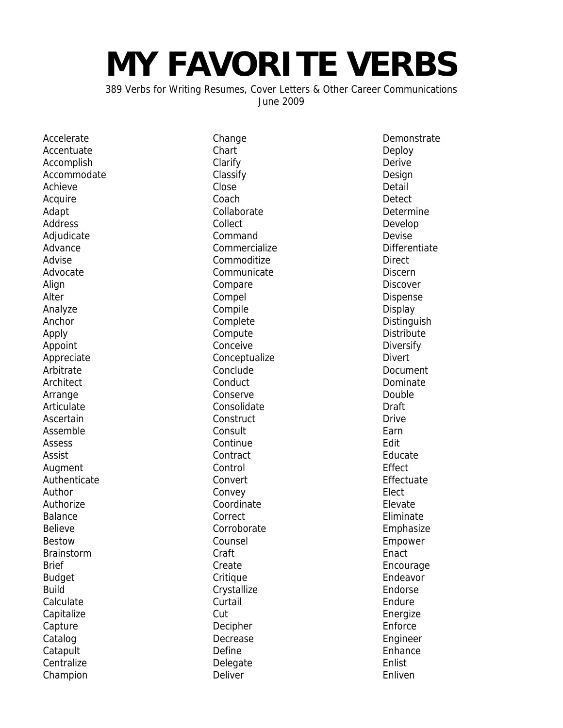## **MY FAVORITE VERBS**

389 Verbs for Writing Resumes, Cover Letters & Other Career Communications June 2009

Accelerate **Accentuate** Accomplish **Accommodate** Achieve **Acquire** Adapt Address **Adjudicate** Advance Advise Advocate **Align** Alter Analyze Anchor Apply Appoint Appreciate Arbitrate **Architect** Arrange Articulate Ascertain Assemble Assess Assist Augment Authenticate Author Authorize Balance Believe Bestow **Brainstorm** Brief **Budget** Build Calculate **Capitalize** Capture Catalog **Catapult Centralize** Champion

Change Chart Clarify Classify Close Coach Collaborate Collect Command Commercialize Commoditize **Communicate** Compare Compel Compile Complete Compute Conceive Conceptualize **Conclude Conduct** Conserve Consolidate **Construct** Consult **Continue Contract** Control Convert Convey Coordinate **Correct** Corroborate Counsel Craft Create **Critique Crystallize Curtail** Cut Decipher Decrease Define Delegate Deliver

**Demonstrate** Deploy Derive Design Detail **Detect Determine** Develop Devise **Differentiate Direct Discern Discover** Dispense Display **Distinguish Distribute** Diversify Divert Document Dominate Double Draft **Drive** Earn Edit Educate Effect Effectuate **Flect** Elevate Eliminate Emphasize Empower **Enact** Encourage Endeavor Endorse Endure Energize Enforce Engineer **Enhance Fnlist** Enliven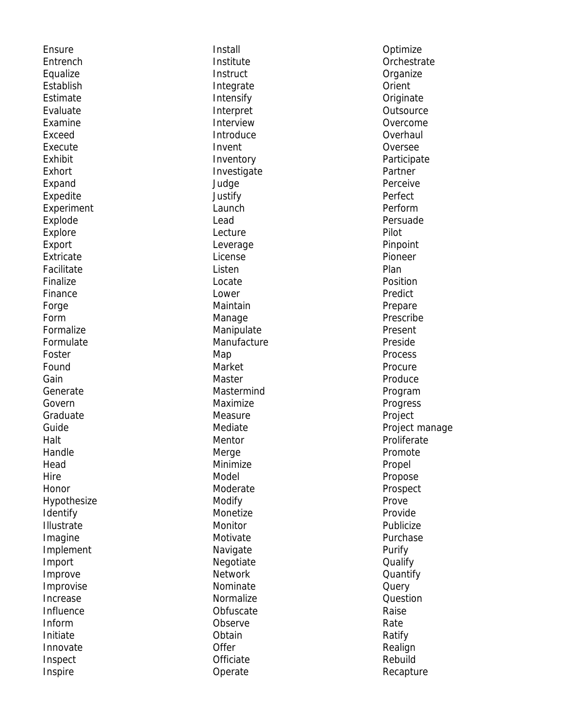Ensure **Entrench** Equalize Establish Estimate Evaluate Examine Exceed Execute Exhibit Exhort Expand Expedite **Experiment** Explode Explore Export Extricate Facilitate Finalize Finance Forge Form Formalize Formulate Foster Found Gain Generate Govern Graduate Guide Halt Handle Head **Hire** Honor Hypothesize Identify Illustrate Imagine Implement Import Improve Improvise Increase Influence Inform Initiate Innovate Inspect Inspire

Install Institute **Instruct** Integrate Intensify Interpret Interview Introduce Invent Inventory Investigate Judge Justify Launch Lead Lecture Leverage License Listen Locate Lower Maintain Manage Manipulate Manufacture Map Market Master Mastermind Maximize Measure Mediate Mentor Merge Minimize Model Moderate Modify Monetize Monitor Motivate Navigate Negotiate **Network** Nominate Normalize **Obfuscate** Observe **Obtain Offer Officiate** Operate

Optimize **Orchestrate Organize** Orient **Originate Outsource** Overcome **Overhaul** Oversee **Participate** Partner Perceive Perfect Perform Persuade Pilot Pinpoint Pioneer Plan Position Predict Prepare Prescribe Present Preside **Process Procure** Produce Program Progress Project Project manage Proliferate Promote Propel Propose Prospect Prove Provide Publicize Purchase Purify **Qualify** Quantify **Query** Question Raise Rate Ratify Realign Rebuild Recapture